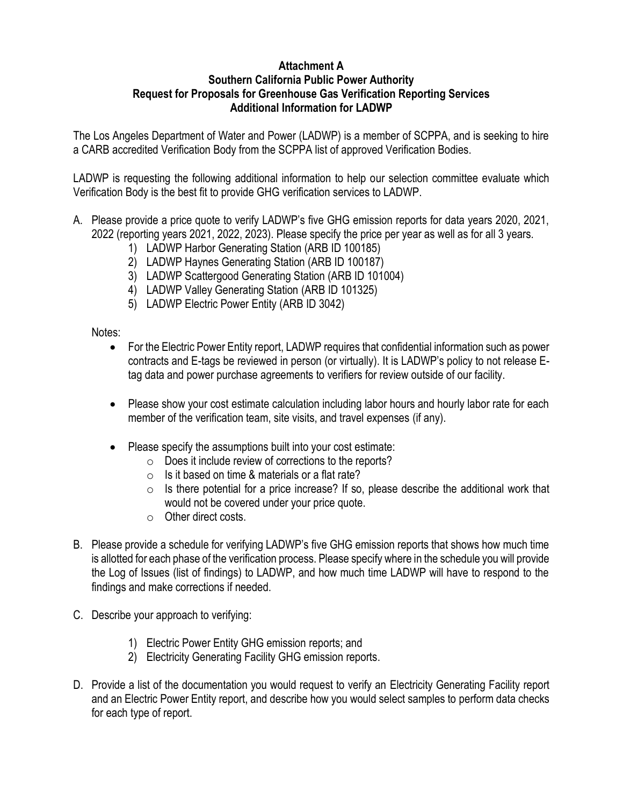## **Attachment A Southern California Public Power Authority Request for Proposals for Greenhouse Gas Verification Reporting Services Additional Information for LADWP**

The Los Angeles Department of Water and Power (LADWP) is a member of SCPPA, and is seeking to hire a CARB accredited Verification Body from the SCPPA list of approved Verification Bodies.

LADWP is requesting the following additional information to help our selection committee evaluate which Verification Body is the best fit to provide GHG verification services to LADWP.

- A. Please provide a price quote to verify LADWP's five GHG emission reports for data years 2020, 2021, 2022 (reporting years 2021, 2022, 2023). Please specify the price per year as well as for all 3 years.
	- 1) LADWP Harbor Generating Station (ARB ID 100185)
	- 2) LADWP Haynes Generating Station (ARB ID 100187)
	- 3) LADWP Scattergood Generating Station (ARB ID 101004)
	- 4) LADWP Valley Generating Station (ARB ID 101325)
	- 5) LADWP Electric Power Entity (ARB ID 3042)

Notes:

- For the Electric Power Entity report, LADWP requires that confidential information such as power contracts and E-tags be reviewed in person (or virtually). It is LADWP's policy to not release Etag data and power purchase agreements to verifiers for review outside of our facility.
- Please show your cost estimate calculation including labor hours and hourly labor rate for each member of the verification team, site visits, and travel expenses (if any).
- Please specify the assumptions built into your cost estimate:
	- o Does it include review of corrections to the reports?
	- $\circ$  Is it based on time & materials or a flat rate?
	- $\circ$  Is there potential for a price increase? If so, please describe the additional work that would not be covered under your price quote.
	- o Other direct costs.
- B. Please provide a schedule for verifying LADWP's five GHG emission reports that shows how much time is allotted for each phase of the verification process. Please specify where in the schedule you will provide the Log of Issues (list of findings) to LADWP, and how much time LADWP will have to respond to the findings and make corrections if needed.
- C. Describe your approach to verifying:
	- 1) Electric Power Entity GHG emission reports; and
	- 2) Electricity Generating Facility GHG emission reports.
- D. Provide a list of the documentation you would request to verify an Electricity Generating Facility report and an Electric Power Entity report, and describe how you would select samples to perform data checks for each type of report.